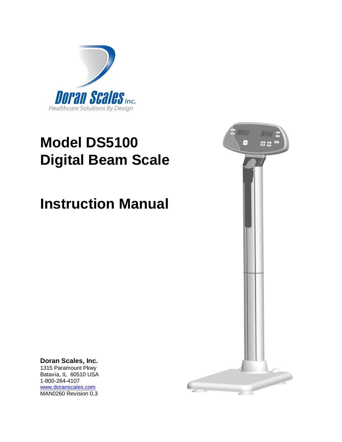

# **Model DS5100 Digital Beam Scale**

# **Instruction Manual**



**Doran Scales, Inc.** 1315 Paramount Pkwy Batavia, IL 60510 USA 1-800-264-4107 [www.doranscales.com](http://www.doranscales.com) MAN0260 Revision 0.3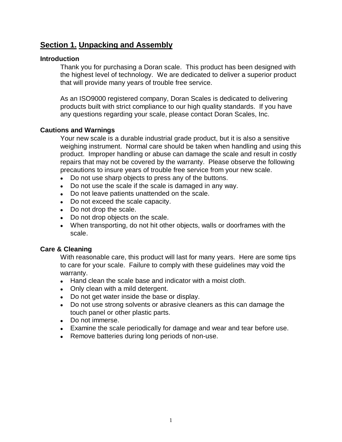# **Section 1. Unpacking and Assembly**

#### **Introduction**

Thank you for purchasing a Doran scale. This product has been designed with the highest level of technology. We are dedicated to deliver a superior product that will provide many years of trouble free service.

As an ISO9000 registered company, Doran Scales is dedicated to delivering products built with strict compliance to our high quality standards. If you have any questions regarding your scale, please contact Doran Scales, Inc.

#### **Cautions and Warnings**

Your new scale is a durable industrial grade product, but it is also a sensitive weighing instrument. Normal care should be taken when handling and using this product. Improper handling or abuse can damage the scale and result in costly repairs that may not be covered by the warranty. Please observe the following precautions to insure years of trouble free service from your new scale.

- Do not use sharp objects to press any of the buttons.
- Do not use the scale if the scale is damaged in any way.
- Do not leave patients unattended on the scale.
- Do not exceed the scale capacity.
- Do not drop the scale.
- Do not drop objects on the scale.
- When transporting, do not hit other objects, walls or doorframes with the scale.

#### **Care & Cleaning**

With reasonable care, this product will last for many years. Here are some tips to care for your scale. Failure to comply with these guidelines may void the warranty.

- Hand clean the scale base and indicator with a moist cloth.
- Only clean with a mild detergent.
- Do not get water inside the base or display.
- Do not use strong solvents or abrasive cleaners as this can damage the touch panel or other plastic parts.
- Do not immerse.
- Examine the scale periodically for damage and wear and tear before use.
- Remove batteries during long periods of non-use.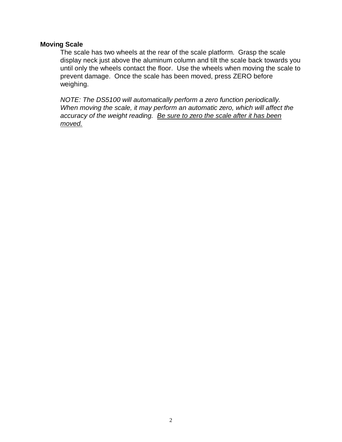#### **Moving Scale**

The scale has two wheels at the rear of the scale platform. Grasp the scale display neck just above the aluminum column and tilt the scale back towards you until only the wheels contact the floor. Use the wheels when moving the scale to prevent damage. Once the scale has been moved, press ZERO before weighing.

*NOTE: The DS5100 will automatically perform a zero function periodically. When moving the scale, it may perform an automatic zero, which will affect the accuracy of the weight reading. Be sure to zero the scale after it has been moved.*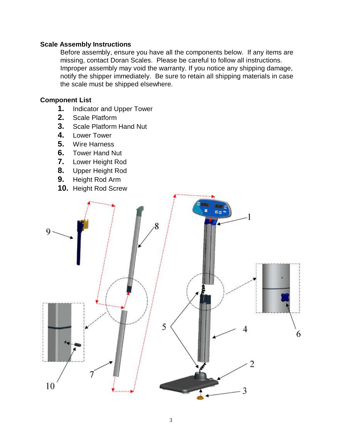#### **Scale Assembly Instructions**

Before assembly, ensure you have all the components below. If any items are missing, contact Doran Scales. Please be careful to follow all instructions. Improper assembly may void the warranty. If you notice any shipping damage, notify the shipper immediately. Be sure to retain all shipping materials in case the scale must be shipped elsewhere.

### **Component List**

- **1.** Indicator and Upper Tower
- **2.** Scale Platform
- **3.** Scale Platform Hand Nut
- **4.** Lower Tower
- **5.** Wire Harness
- **6.** Tower Hand Nut
- **7.** Lower Height Rod
- **8.** Upper Height Rod
- **9.** Height Rod Arm
- **10.** Height Rod Screw

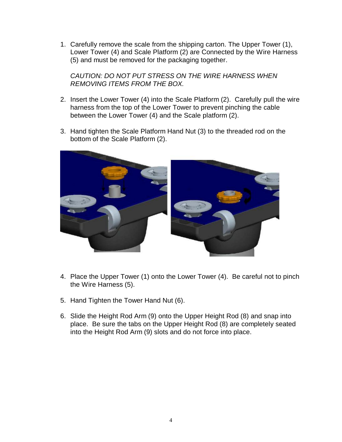1. Carefully remove the scale from the shipping carton. The Upper Tower (1), Lower Tower (4) and Scale Platform (2) are Connected by the Wire Harness (5) and must be removed for the packaging together.

*CAUTION: DO NOT PUT STRESS ON THE WIRE HARNESS WHEN REMOVING ITEMS FROM THE BOX.*

- 2. Insert the Lower Tower (4) into the Scale Platform (2). Carefully pull the wire harness from the top of the Lower Tower to prevent pinching the cable between the Lower Tower (4) and the Scale platform (2).
- 3. Hand tighten the Scale Platform Hand Nut (3) to the threaded rod on the bottom of the Scale Platform (2).



- 4. Place the Upper Tower (1) onto the Lower Tower (4). Be careful not to pinch the Wire Harness (5).
- 5. Hand Tighten the Tower Hand Nut (6).
- 6. Slide the Height Rod Arm (9) onto the Upper Height Rod (8) and snap into place. Be sure the tabs on the Upper Height Rod (8) are completely seated into the Height Rod Arm (9) slots and do not force into place.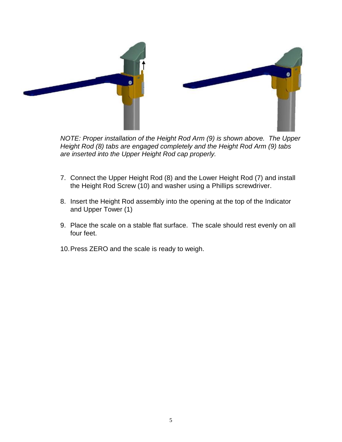

*NOTE: Proper installation of the Height Rod Arm (9) is shown above. The Upper Height Rod (8) tabs are engaged completely and the Height Rod Arm (9) tabs are inserted into the Upper Height Rod cap properly.*

- 7. Connect the Upper Height Rod (8) and the Lower Height Rod (7) and install the Height Rod Screw (10) and washer using a Phillips screwdriver.
- 8. Insert the Height Rod assembly into the opening at the top of the Indicator and Upper Tower (1)
- 9. Place the scale on a stable flat surface. The scale should rest evenly on all four feet.
- 10. Press ZERO and the scale is ready to weigh.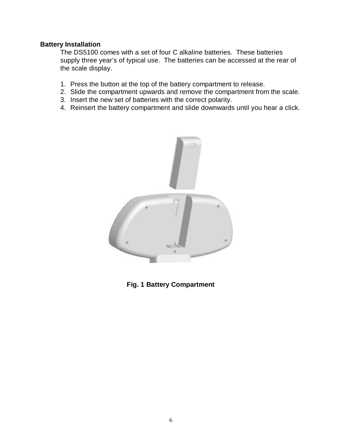#### **Battery Installation**

The DS5100 comes with a set of four C alkaline batteries. These batteries supply three year's of typical use. The batteries can be accessed at the rear of the scale display.

- 1. Press the button at the top of the battery compartment to release.
- 2. Slide the compartment upwards and remove the compartment from the scale.
- 3. Insert the new set of batteries with the correct polarity.
- 4. Reinsert the battery compartment and slide downwards until you hear a click.



**Fig. 1 Battery Compartment**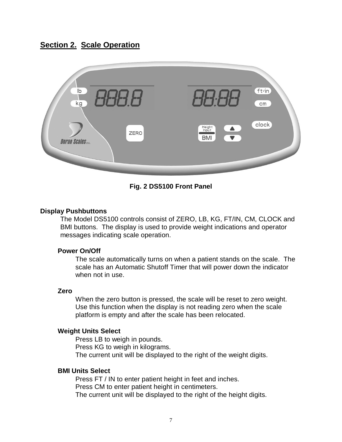# **Section 2. Scale Operation**



#### **Fig. 2 DS5100 Front Panel**

#### **Display Pushbuttons**

The Model DS5100 controls consist of ZERO, LB, KG, FT/IN, CM, CLOCK and BMI buttons. The display is used to provide weight indications and operator messages indicating scale operation.

#### **Power On/Off**

The scale automatically turns on when a patient stands on the scale. The scale has an Automatic Shutoff Timer that will power down the indicator when not in use.

#### **Zero**

When the zero button is pressed, the scale will be reset to zero weight. Use this function when the display is not reading zero when the scale platform is empty and after the scale has been relocated.

#### **Weight Units Select**

Press LB to weigh in pounds. Press KG to weigh in kilograms. The current unit will be displayed to the right of the weight digits.

#### **BMI Units Select**

Press FT / IN to enter patient height in feet and inches. Press CM to enter patient height in centimeters. The current unit will be displayed to the right of the height digits.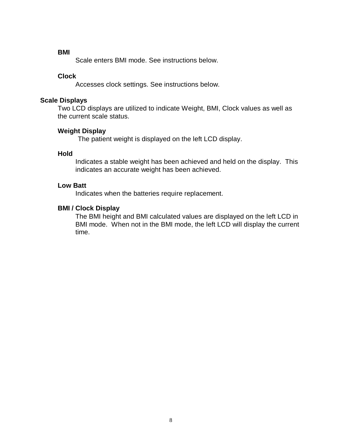#### **BMI**

Scale enters BMI mode. See instructions below.

#### **Clock**

Accesses clock settings. See instructions below.

#### **Scale Displays**

Two LCD displays are utilized to indicate Weight, BMI, Clock values as well as the current scale status.

#### **Weight Display**

The patient weight is displayed on the left LCD display.

#### **Hold**

Indicates a stable weight has been achieved and held on the display. This indicates an accurate weight has been achieved.

#### **Low Batt**

Indicates when the batteries require replacement.

#### **BMI / Clock Display**

The BMI height and BMI calculated values are displayed on the left LCD in BMI mode. When not in the BMI mode, the left LCD will display the current time.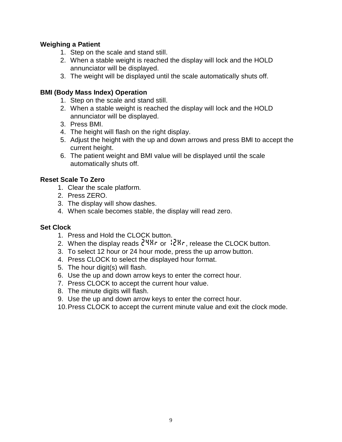#### **Weighing a Patient**

- 1. Step on the scale and stand still.
- 2. When a stable weight is reached the display will lock and the HOLD annunciator will be displayed.
- 3. The weight will be displayed until the scale automatically shuts off.

#### **BMI (Body Mass Index) Operation**

- 1. Step on the scale and stand still.
- 2. When a stable weight is reached the display will lock and the HOLD annunciator will be displayed.
- 3. Press BMI.
- 4. The height will flash on the right display.
- 5. Adjust the height with the up and down arrows and press BMI to accept the current height.
- 6. The patient weight and BMI value will be displayed until the scale automatically shuts off.

#### **Reset Scale To Zero**

- 1. Clear the scale platform.
- 2. Press ZERO.
- 3. The display will show dashes.
- 4. When scale becomes stable, the display will read zero.

#### **Set Clock**

- 1. Press and Hold the CLOCK button.
- 2. When the display reads  $24Hr$  or  $12Hr$ , release the CLOCK button.
- 3. To select 12 hour or 24 hour mode, press the up arrow button.
- 4. Press CLOCK to select the displayed hour format.
- 5. The hour digit(s) will flash.
- 6. Use the up and down arrow keys to enter the correct hour.
- 7. Press CLOCK to accept the current hour value.
- 8. The minute digits will flash.
- 9. Use the up and down arrow keys to enter the correct hour.
- 10. Press CLOCK to accept the current minute value and exit the clock mode.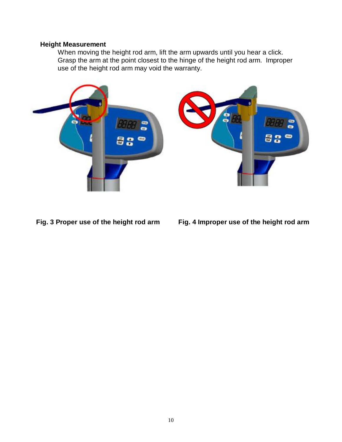#### **Height Measurement**

When moving the height rod arm, lift the arm upwards until you hear a click. Grasp the arm at the point closest to the hinge of the height rod arm. Improper use of the height rod arm may void the warranty.



**Fig. 3 Proper use of the height rod arm Fig. 4 Improper use of the height rod arm**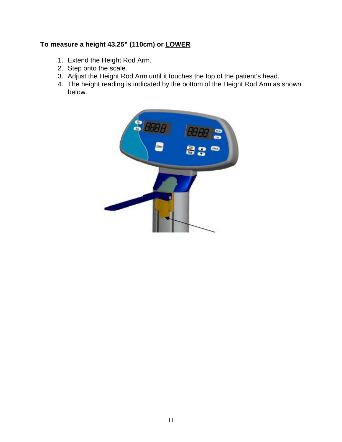# **To measure a height 43.25" (110cm) or LOWER**

- 1. Extend the Height Rod Arm.
- 2. Step onto the scale.
- 3. Adjust the Height Rod Arm until it touches the top of the patient's head.
- 4. The height reading is indicated by the bottom of the Height Rod Arm as shown below.

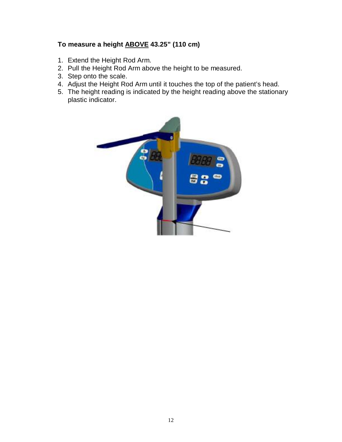## **To measure a height ABOVE 43.25" (110 cm)**

- 1. Extend the Height Rod Arm.
- 2. Pull the Height Rod Arm above the height to be measured.
- 3. Step onto the scale.
- 4. Adjust the Height Rod Arm until it touches the top of the patient's head.
- 5. The height reading is indicated by the height reading above the stationary plastic indicator.

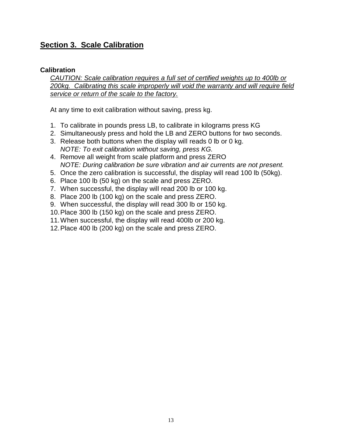# **Section 3. Scale Calibration**

#### **Calibration**

*CAUTION: Scale calibration requires a full set of certified weights up to 400lb or 200kg. Calibrating this scale improperly will void the warranty and will require field service or return of the scale to the factory.*

At any time to exit calibration without saving, press kg.

- 1. To calibrate in pounds press LB, to calibrate in kilograms press KG
- 2. Simultaneously press and hold the LB and ZERO buttons for two seconds.
- 3. Release both buttons when the display will reads 0 lb or 0 kg. *NOTE: To exit calibration without saving, press KG.*
- 4. Remove all weight from scale platform and press ZERO *NOTE: During calibration be sure vibration and air currents are not present.*
- 5. Once the zero calibration is successful, the display will read 100 lb (50kg).
- 6. Place 100 lb (50 kg) on the scale and press ZERO.
- 7. When successful, the display will read 200 lb or 100 kg.
- 8. Place 200 lb (100 kg) on the scale and press ZERO.
- 9. When successful, the display will read 300 lb or 150 kg.
- 10. Place 300 lb (150 kg) on the scale and press ZERO.
- 11. When successful, the display will read 400lb or 200 kg.
- 12. Place 400 lb (200 kg) on the scale and press ZERO.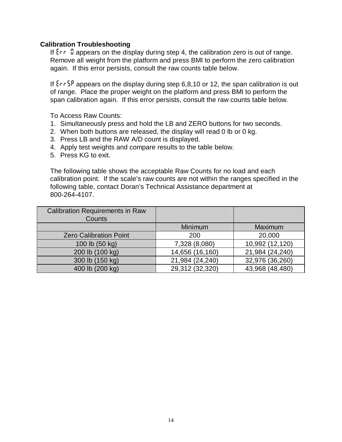#### **Calibration Troubleshooting**

If  $\epsilon$  <sup>0</sup> appears on the display during step 4, the calibration zero is out of range. Remove all weight from the platform and press BMI to perform the zero calibration again. If this error persists, consult the raw counts table below.

If  $\frac{5}{5}$  appears on the display during step 6,8,10 or 12, the span calibration is out of range. Place the proper weight on the platform and press BMI to perform the span calibration again. If this error persists, consult the raw counts table below.

To Access Raw Counts:

- 1. Simultaneously press and hold the LB and ZERO buttons for two seconds.
- 2. When both buttons are released, the display will read 0 lb or 0 kg.
- 3. Press LB and the RAW A/D count is displayed.
- 4. Apply test weights and compare results to the table below.
- 5. Press KG to exit.

The following table shows the acceptable Raw Counts for no load and each calibration point. If the scale's raw counts are not within the ranges specified in the following table, contact Doran's Technical Assistance department at 800-264-4107.

| <b>Calibration Requirements in Raw</b><br>Counts |                 |                 |
|--------------------------------------------------|-----------------|-----------------|
|                                                  | Minimum         | Maximum         |
| <b>Zero Calibration Point</b>                    | 200             | 20,000          |
| 100 lb (50 kg)                                   | 7,328 (8,080)   | 10,992 (12,120) |
| 200 lb (100 kg)                                  | 14,656 (16,160) | 21,984 (24,240) |
| 300 lb (150 kg)                                  | 21,984 (24,240) | 32,976 (36,260) |
| 400 lb (200 kg)                                  | 29,312 (32,320) | 43,968 (48,480) |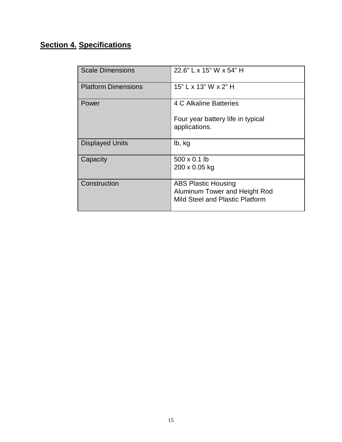# **Section 4. Specifications**

| <b>Scale Dimensions</b>    | 22.6" L x 15" W x 54" H                            |
|----------------------------|----------------------------------------------------|
| <b>Platform Dimensions</b> | 15" L x 13" W x 2" H                               |
| Power                      | 4 C Alkaline Batteries                             |
|                            | Four year battery life in typical<br>applications. |
| <b>Displayed Units</b>     | lb, kg                                             |
| Capacity                   | 500 x 0.1 lb                                       |
|                            | 200 x 0.05 kg                                      |
| Construction               | <b>ABS Plastic Housing</b>                         |
|                            | Aluminum Tower and Height Rod                      |
|                            | Mild Steel and Plastic Platform                    |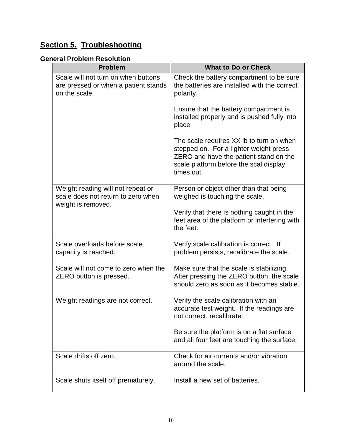# **Section 5. Troubleshooting**

## **General Problem Resolution**

| <b>Problem</b>                                                                                | <b>What to Do or Check</b>                                                                                                                                                           |
|-----------------------------------------------------------------------------------------------|--------------------------------------------------------------------------------------------------------------------------------------------------------------------------------------|
| Scale will not turn on when buttons<br>are pressed or when a patient stands<br>on the scale.  | Check the battery compartment to be sure<br>the batteries are installed with the correct<br>polarity.                                                                                |
|                                                                                               | Ensure that the battery compartment is<br>installed properly and is pushed fully into<br>place.                                                                                      |
|                                                                                               | The scale requires XX Ib to turn on when<br>stepped on. For a lighter weight press<br>ZERO and have the patient stand on the<br>scale platform before the scal display<br>times out. |
| Weight reading will not repeat or<br>scale does not return to zero when<br>weight is removed. | Person or object other than that being<br>weighed is touching the scale.                                                                                                             |
|                                                                                               | Verify that there is nothing caught in the<br>feet area of the platform or interfering with<br>the feet.                                                                             |
| Scale overloads before scale<br>capacity is reached.                                          | Verify scale calibration is correct. If<br>problem persists, recalibrate the scale.                                                                                                  |
| Scale will not come to zero when the<br>ZERO button is pressed.                               | Make sure that the scale is stabilizing.<br>After pressing the ZERO button, the scale<br>should zero as soon as it becomes stable.                                                   |
| Weight readings are not correct.                                                              | Verify the scale calibration with an<br>accurate test weight. If the readings are<br>not correct, recalibrate.                                                                       |
|                                                                                               | Be sure the platform is on a flat surface<br>and all four feet are touching the surface.                                                                                             |
| Scale drifts off zero.                                                                        | Check for air currents and/or vibration<br>around the scale.                                                                                                                         |
| Scale shuts itself off prematurely.                                                           | Install a new set of batteries.                                                                                                                                                      |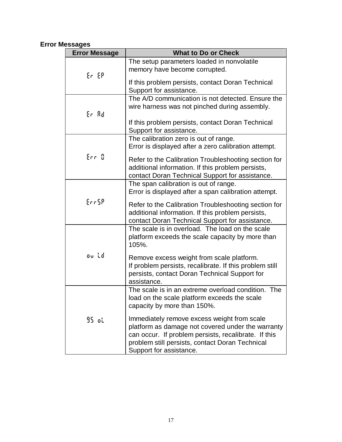# **Error Messages**

| <b>Error Message</b> | <b>What to Do or Check</b>                                                                                                                                                                                                             |
|----------------------|----------------------------------------------------------------------------------------------------------------------------------------------------------------------------------------------------------------------------------------|
| Er EP                | The setup parameters loaded in nonvolatile<br>memory have become corrupted.                                                                                                                                                            |
|                      | If this problem persists, contact Doran Technical<br>Support for assistance.                                                                                                                                                           |
| Er Ad                | The A/D communication is not detected. Ensure the<br>wire harness was not pinched during assembly.                                                                                                                                     |
|                      | If this problem persists, contact Doran Technical<br>Support for assistance.                                                                                                                                                           |
|                      | The calibration zero is out of range.<br>Error is displayed after a zero calibration attempt.                                                                                                                                          |
| Err D                | Refer to the Calibration Troubleshooting section for<br>additional information. If this problem persists,<br>contact Doran Technical Support for assistance.                                                                           |
|                      | The span calibration is out of range.<br>Error is displayed after a span calibration attempt.                                                                                                                                          |
| Err5P                | Refer to the Calibration Troubleshooting section for<br>additional information. If this problem persists,<br>contact Doran Technical Support for assistance.                                                                           |
|                      | The scale is in overload. The load on the scale<br>platform exceeds the scale capacity by more than<br>105%.                                                                                                                           |
| ou id                | Remove excess weight from scale platform.<br>If problem persists, recalibrate. If this problem still<br>persists, contact Doran Technical Support for<br>assistance.                                                                   |
|                      | The scale is in an extreme overload condition. The<br>load on the scale platform exceeds the scale<br>capacity by more than 150%.                                                                                                      |
| 95 օկ                | Immediately remove excess weight from scale<br>platform as damage not covered under the warranty<br>can occur. If problem persists, recalibrate. If this<br>problem still persists, contact Doran Technical<br>Support for assistance. |